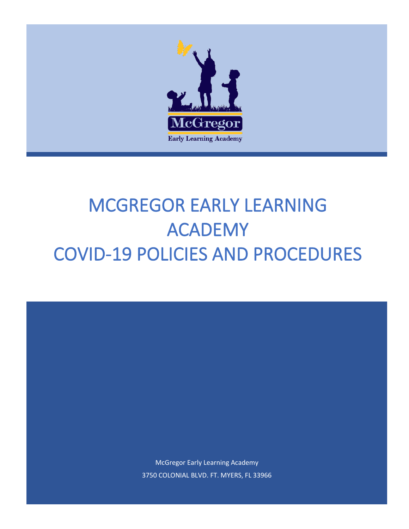

# MCGREGOR EARLY LEARNING ACADEMY COVID-19 POLICIES AND PROCEDURES

McGregor Early Learning Academy 3750 COLONIAL BLVD. FT. MYERS, FL 33966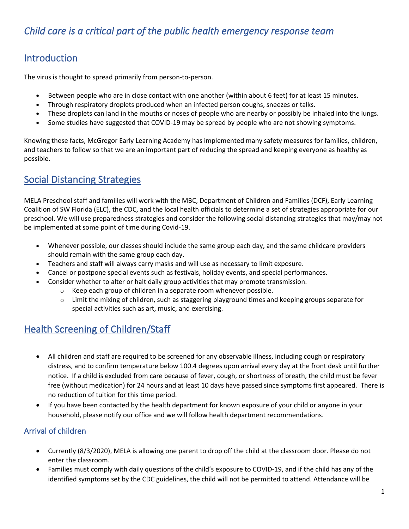# *Child care is a critical part of the public health emergency response team*

# Introduction

The virus is thought to spread primarily from person-to-person.

- Between people who are in close contact with one another (within about 6 feet) for at least 15 minutes.
- Through respiratory droplets produced when an infected person coughs, sneezes or talks.
- These droplets can land in the mouths or noses of people who are nearby or possibly be inhaled into the lungs.
- Some studies have suggested that COVID-19 may be spread by people who are not showing symptoms.

Knowing these facts, McGregor Early Learning Academy has implemented many safety measures for families, children, and teachers to follow so that we are an important part of reducing the spread and keeping everyone as healthy as possible.

# Social Distancing Strategies

MELA Preschool staff and families will work with the MBC, Department of Children and Families (DCF), Early Learning Coalition of SW Florida (ELC), the CDC, and the local health officials to determine a set of strategies appropriate for our preschool. We will use preparedness strategies and consider the following social distancing strategies that may/may not be implemented at some point of time during Covid-19.

- Whenever possible, our classes should include the same group each day, and the same childcare providers should remain with the same group each day.
- Teachers and staff will always carry masks and will use as necessary to limit exposure.
- Cancel or postpone special events such as festivals, holiday events, and special performances.
- Consider whether to alter or halt daily group activities that may promote transmission.
	- $\circ$  Keep each group of children in a separate room whenever possible.
	- $\circ$  Limit the mixing of children, such as staggering playground times and keeping groups separate for special activities such as art, music, and exercising.

# Health Screening of Children/Staff

- All children and staff are required to be screened for any observable illness, including cough or respiratory distress, and to confirm temperature below 100.4 degrees upon arrival every day at the front desk until further notice. If a child is excluded from care because of fever, cough, or shortness of breath, the child must be fever free (without medication) for 24 hours and at least 10 days have passed since symptoms first appeared. There is no reduction of tuition for this time period.
- If you have been contacted by the health department for known exposure of your child or anyone in your household, please notify our office and we will follow health department recommendations.

## Arrival of children

- Currently (8/3/2020), MELA is allowing one parent to drop off the child at the classroom door. Please do not enter the classroom.
- Families must comply with daily questions of the child's exposure to COVID-19, and if the child has any of the identified symptoms set by the CDC guidelines, the child will not be permitted to attend. Attendance will be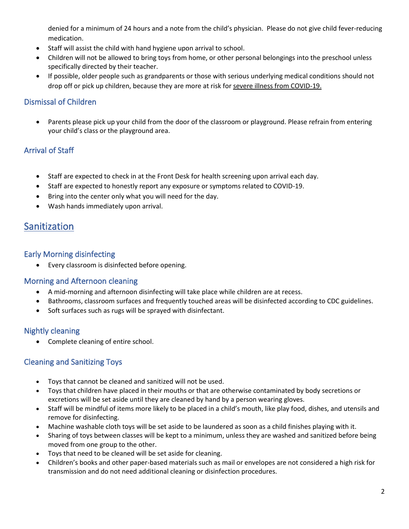denied for a minimum of 24 hours and a note from the child's physician. Please do not give child fever-reducing medication.

- Staff will assist the child with hand hygiene upon arrival to school.
- Children will not be allowed to bring toys from home, or other personal belongings into the preschool unless specifically directed by their teacher.
- If possible, older people such as grandparents or those with serious underlying medical conditions should not drop off or pick up children, because they are more at risk for [severe illness from COVID-19.](https://www.cdc.gov/coronavirus/2019-ncov/specific-groups/high-risk-complications.html)

### Dismissal of Children

• Parents please pick up your child from the door of the classroom or playground. Please refrain from entering your child's class or the playground area.

## Arrival of Staff

- Staff are expected to check in at the Front Desk for health screening upon arrival each day.
- Staff are expected to honestly report any exposure or symptoms related to COVID-19.
- Bring into the center only what you will need for the day.
- Wash hands immediately upon arrival.

## **Sanitization**

#### Early Morning disinfecting

• Every classroom is disinfected before opening.

#### Morning and Afternoon cleaning

- A mid-morning and afternoon disinfecting will take place while children are at recess.
- Bathrooms, classroom surfaces and frequently touched areas will be disinfected according to CDC guidelines.
- Soft surfaces such as rugs will be sprayed with disinfectant.

#### Nightly cleaning

• Complete cleaning of entire school.

## Cleaning and Sanitizing Toys

- Toys that cannot be cleaned and sanitized will not be used.
- Toys that children have placed in their mouths or that are otherwise contaminated by body secretions or excretions will be set aside until they are cleaned by hand by a person wearing gloves.
- Staff will be mindful of items more likely to be placed in a child's mouth, like play food, dishes, and utensils and remove for disinfecting.
- Machine washable cloth toys will be set aside to be laundered as soon as a child finishes playing with it.
- Sharing of toys between classes will be kept to a minimum, unless they are washed and sanitized before being moved from one group to the other.
- Toys that need to be cleaned will be set aside for cleaning.
- Children's books and other paper-based materials such as mail or envelopes are not considered a high risk for transmission and do not need additional cleaning or disinfection procedures.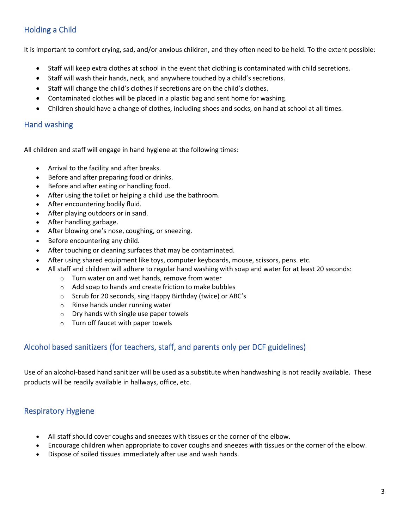## Holding a Child

It is important to comfort crying, sad, and/or anxious children, and they often need to be held. To the extent possible:

- Staff will keep extra clothes at school in the event that clothing is contaminated with child secretions.
- Staff will wash their hands, neck, and anywhere touched by a child's secretions.
- Staff will change the child's clothes if secretions are on the child's clothes.
- Contaminated clothes will be placed in a plastic bag and sent home for washing.
- Children should have a change of clothes, including shoes and socks, on hand at school at all times.

#### Hand washing

All children and staff will engage in hand hygiene at the following times:

- Arrival to the facility and after breaks.
- Before and after preparing food or drinks.
- Before and after eating or handling food.
- After using the toilet or helping a child use the bathroom.
- After encountering bodily fluid.
- After playing outdoors or in sand.
- After handling garbage.
- After blowing one's nose, coughing, or sneezing.
- Before encountering any child.
- After touching or cleaning surfaces that may be contaminated.
- After using shared equipment like toys, computer keyboards, mouse, scissors, pens. etc.
- All staff and children will adhere to regular hand washing with soap and water for at least 20 seconds:
	- o Turn water on and wet hands, remove from water
	- o Add soap to hands and create friction to make bubbles
	- o Scrub for 20 seconds, sing Happy Birthday (twice) or ABC's
	- o Rinse hands under running water
	- o Dry hands with single use paper towels
	- o Turn off faucet with paper towels

#### Alcohol based sanitizers (for teachers, staff, and parents only per DCF guidelines)

Use of an alcohol-based hand sanitizer will be used as a substitute when handwashing is not readily available. These products will be readily available in hallways, office, etc.

#### Respiratory Hygiene

- All staff should cover coughs and sneezes with tissues or the corner of the elbow.
- Encourage children when appropriate to cover coughs and sneezes with tissues or the corner of the elbow.
- Dispose of soiled tissues immediately after use and wash hands.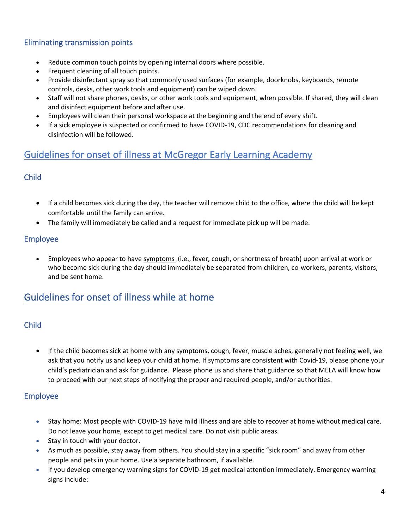## Eliminating transmission points

- Reduce common touch points by opening internal doors where possible.
- Frequent cleaning of all touch points.
- Provide disinfectant spray so that commonly used surfaces (for example, doorknobs, keyboards, remote controls, desks, other work tools and equipment) can be wiped down.
- Staff will not share phones, desks, or other work tools and equipment, when possible. If shared, they will clean and disinfect equipment before and after use.
- Employees will clean their personal workspace at the beginning and the end of every shift.
- If a sick employee is suspected or confirmed to have COVID-19, CDC recommendations for cleaning and disinfection will be followed.

# Guidelines for onset of illness at McGregor Early Learning Academy

#### Child

- If a child becomes sick during the day, the teacher will remove child to the office, where the child will be kept comfortable until the family can arrive.
- The family will immediately be called and a request for immediate pick up will be made.

#### Employee

• Employees who appear to hav[e symptoms](https://www.cdc.gov/coronavirus/2019-ncov/about/symptoms.html) (i.e., fever, cough, or shortness of breath) upon arrival at work or who become sick during the day should immediately be separated from children, co-workers, parents, visitors, and be sent home.

## Guidelines for onset of illness while at home

## Child

• If the child becomes sick at home with any symptoms, cough, fever, muscle aches, generally not feeling well, we ask that you notify us and keep your child at home. If symptoms are consistent with Covid-19, please phone your child's pediatrician and ask for guidance. Please phone us and share that guidance so that MELA will know how to proceed with our next steps of notifying the proper and required people, and/or authorities.

#### Employee

- Stay home: Most people with COVID-19 have mild illness and are able to recover at home without medical care. Do not leave your home, except to get medical care. Do not visit public areas.
- Stay in touch with your doctor.
- As much as possible, stay away from others. You should stay in a specific "sick room" and away from other people and pets in your home. Use a separate bathroom, if available.
- If you develop emergency warning signs for COVID-19 get medical attention immediately. Emergency warning signs include: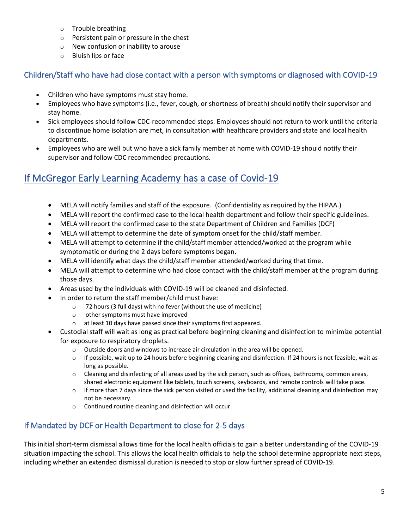- o Trouble breathing
- o Persistent pain or pressure in the chest
- o New confusion or inability to arouse
- o Bluish lips or face

#### Children/Staff who have had close contact with a person with symptoms or diagnosed with COVID-19

- Children who have symptoms must stay home.
- Employees who have symptoms (i.e., fever, cough, or shortness of breath) should notify their supervisor and stay home.
- Sick employees should follow [CDC-recommended steps.](https://www.cdc.gov/coronavirus/2019-ncov/if-you-are-sick/steps-when-sick.html) Employees should not return to work until the criteria to discontinue home isolation are met, in consultation with healthcare providers and state and local health departments.
- Employees who are well but who have a sick family member at home with COVID-19 should notify their supervisor and follow CDC recommended precautions.

# If McGregor Early Learning Academy has a case of Covid-19

- MELA will notify families and staff of the exposure. (Confidentiality as required by the HIPAA.)
- MELA will report the confirmed case to the local health department and follow their specific guidelines.
- MELA will report the confirmed case to the state Department of Children and Families (DCF)
- MELA will attempt to determine the date of symptom onset for the child/staff member.
- MELA will attempt to determine if the child/staff member attended/worked at the program while symptomatic or during the 2 days before symptoms began.
- MELA will identify what days the child/staff member attended/worked during that time.
- MELA will attempt to determine who had close contact with the child/staff member at the program during those days.
- Areas used by the individuals with COVID-19 will be cleaned and disinfected.
- In order to return the staff member/child must have:
	- o 72 hours (3 full days) with no fever (without the use of medicine)
	- o other symptoms must have improved
	- o at least 10 days have passed since their symptoms first appeared.
- Custodial staff will wait as long as practical before beginning cleaning and disinfection to minimize potential for exposure to respiratory droplets.
	- o Outside doors and windows to increase air circulation in the area will be opened.
	- $\circ$  If possible, wait up to 24 hours before beginning cleaning and disinfection. If 24 hours is not feasible, wait as long as possible.
	- o Cleaning and disinfecting of all areas used by the sick person, such as offices, bathrooms, common areas, shared electronic equipment like tablets, touch screens, keyboards, and remote controls will take place.
	- $\circ$  If more than 7 days since the sick person visited or used the facility, additional cleaning and disinfection may not be necessary.
	- o Continued routine cleaning and disinfection will occur.

## If Mandated by DCF or Health Department to close for 2-5 days

This initial short-term dismissal allows time for the local health officials to gain a better understanding of the COVID-19 situation impacting the school. This allows the local health officials to help the school determine appropriate next steps, including whether an extended dismissal duration is needed to stop or slow further spread of COVID-19.